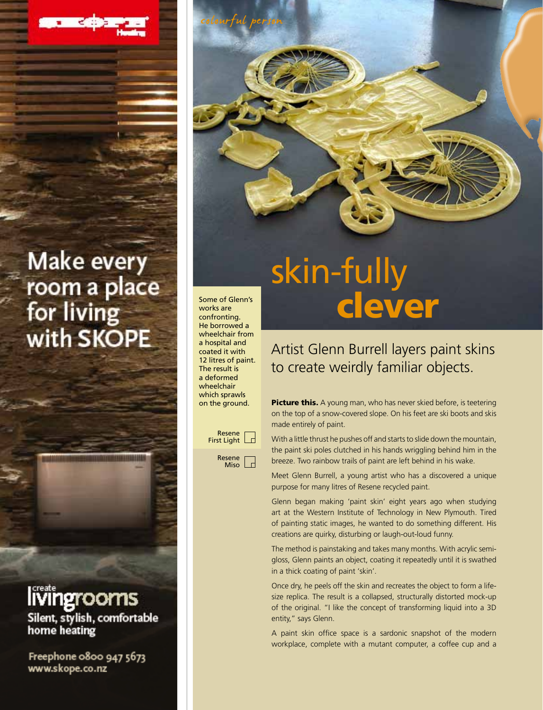## skin-fully Some of Glenn's<br>works are **CLEVER**

works are confronting. He borrowed a wheelchair from a hospital and coated it with 12 litres of paint. The result is a deformed wheelchair which sprawls on the ground.

colourful person



## Artist Glenn Burrell layers paint skins to create weirdly familiar objects.

Picture this. A young man, who has never skied before, is teetering on the top of a snow-covered slope. On his feet are ski boots and skis made entirely of paint.

With a little thrust he pushes off and starts to slide down the mountain, the paint ski poles clutched in his hands wriggling behind him in the breeze. Two rainbow trails of paint are left behind in his wake.

Meet Glenn Burrell, a young artist who has a discovered a unique purpose for many litres of Resene recycled paint.

Glenn began making 'paint skin' eight years ago when studying art at the Western Institute of Technology in New Plymouth. Tired of painting static images, he wanted to do something different. His creations are quirky, disturbing or laugh-out-loud funny.

The method is painstaking and takes many months. With acrylic semigloss, Glenn paints an object, coating it repeatedly until it is swathed in a thick coating of paint 'skin'.

Once dry, he peels off the skin and recreates the object to form a lifesize replica. The result is a collapsed, structurally distorted mock-up of the original. "I like the concept of transforming liquid into a 3D entity," says Glenn.

A paint skin office space is a sardonic snapshot of the modern workplace, complete with a mutant computer, a coffee cup and a